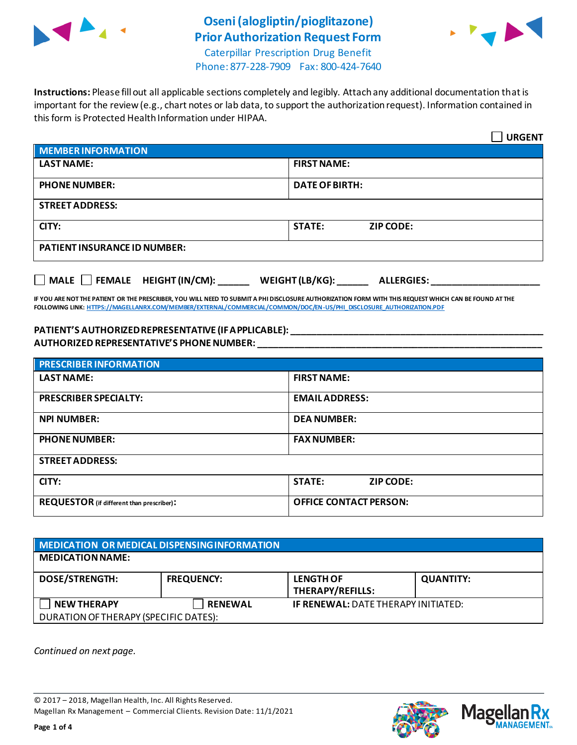

# **Oseni(alogliptin/pioglitazone) Prior Authorization Request Form**



Caterpillar Prescription Drug Benefit Phone: 877-228-7909 Fax: 800-424-7640

**Instructions:** Please fill out all applicable sections completely and legibly. Attach any additional documentation that is important for the review (e.g., chart notes or lab data, to support the authorization request). Information contained in this form is Protected Health Information under HIPAA.

|                                           | <b>URGENT</b>                        |  |  |
|-------------------------------------------|--------------------------------------|--|--|
| <b>MEMBER INFORMATION</b>                 |                                      |  |  |
| <b>LAST NAME:</b>                         | <b>FIRST NAME:</b>                   |  |  |
| <b>PHONE NUMBER:</b>                      | <b>DATE OF BIRTH:</b>                |  |  |
| <b>STREET ADDRESS:</b>                    |                                      |  |  |
| CITY:                                     | <b>STATE:</b><br><b>ZIP CODE:</b>    |  |  |
| <b>PATIENT INSURANCE ID NUMBER:</b>       |                                      |  |  |
| $\Box$ MALE $\Box$ FEMALE HEIGHT (IN/CM): | WEIGHT (LB/KG):<br><b>ALLERGIES:</b> |  |  |

**IF YOU ARE NOT THE PATIENT OR THE PRESCRIBER, YOU WILL NEED TO SUBMIT A PHI DISCLOSURE AUTHORIZATION FORM WITH THIS REQUEST WHICH CAN BE FOUND AT THE FOLLOWING LINK[: HTTPS://MAGELLANRX.COM/MEMBER/EXTERNAL/COMMERCIAL/COMMON/DOC/EN-US/PHI\\_DISCLOSURE\\_AUTHORIZATION.PDF](https://magellanrx.com/member/external/commercial/common/doc/en-us/PHI_Disclosure_Authorization.pdf)**

#### **PATIENT'S AUTHORIZED REPRESENTATIVE (IF APPLICABLE): \_\_\_\_\_\_\_\_\_\_\_\_\_\_\_\_\_\_\_\_\_\_\_\_\_\_\_\_\_\_\_\_\_\_\_\_\_\_\_\_\_\_\_\_\_\_\_\_\_ AUTHORIZED REPRESENTATIVE'S PHONE NUMBER: \_\_\_\_\_\_\_\_\_\_\_\_\_\_\_\_\_\_\_\_\_\_\_\_\_\_\_\_\_\_\_\_\_\_\_\_\_\_\_\_\_\_\_\_\_\_\_\_\_\_\_\_\_\_\_**

| <b>PRESCRIBER INFORMATION</b>             |                               |  |  |
|-------------------------------------------|-------------------------------|--|--|
| <b>LAST NAME:</b>                         | <b>FIRST NAME:</b>            |  |  |
| <b>PRESCRIBER SPECIALTY:</b>              | <b>EMAIL ADDRESS:</b>         |  |  |
| <b>NPI NUMBER:</b>                        | <b>DEA NUMBER:</b>            |  |  |
| <b>PHONE NUMBER:</b>                      | <b>FAX NUMBER:</b>            |  |  |
| <b>STREET ADDRESS:</b>                    |                               |  |  |
| CITY:                                     | <b>STATE:</b><br>ZIP CODE:    |  |  |
| REQUESTOR (if different than prescriber): | <b>OFFICE CONTACT PERSON:</b> |  |  |

| MEDICATION OR MEDICAL DISPENSING INFORMATION |                   |                                            |                  |  |  |
|----------------------------------------------|-------------------|--------------------------------------------|------------------|--|--|
| <b>MEDICATION NAME:</b>                      |                   |                                            |                  |  |  |
| <b>DOSE/STRENGTH:</b>                        | <b>FREQUENCY:</b> | <b>LENGTH OF</b><br>THERAPY/REFILLS:       | <b>QUANTITY:</b> |  |  |
| <b>NEW THERAPY</b>                           | <b>RENEWAL</b>    | <b>IF RENEWAL: DATE THERAPY INITIATED:</b> |                  |  |  |
| DURATION OF THERAPY (SPECIFIC DATES):        |                   |                                            |                  |  |  |

*Continued on next page.*

© 2017 – 2018, Magellan Health, Inc. All Rights Reserved. Magellan Rx Management – Commercial Clients. Revision Date: 11/1/2021



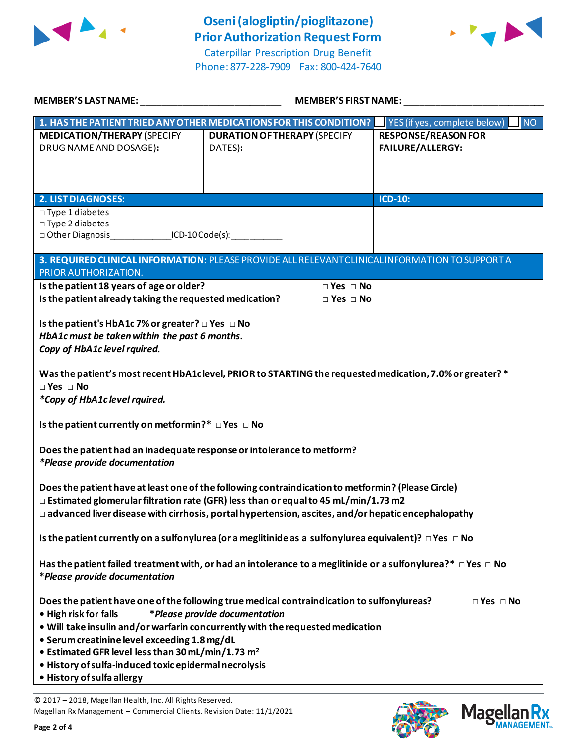

Phone: 877-228-7909 Fax: 800-424-7640



| <b>MEMBER'S LAST NAME:</b>                                                                                                                                                                                                                                                                                   | <b>MEMBER'S FIRST NAME:</b>                                                                                                                                                                                   |                                                                                                                   |  |  |
|--------------------------------------------------------------------------------------------------------------------------------------------------------------------------------------------------------------------------------------------------------------------------------------------------------------|---------------------------------------------------------------------------------------------------------------------------------------------------------------------------------------------------------------|-------------------------------------------------------------------------------------------------------------------|--|--|
| <b>MEDICATION/THERAPY (SPECIFY</b><br>DRUG NAME AND DOSAGE):                                                                                                                                                                                                                                                 | 1. HAS THE PATIENT TRIED ANY OTHER MEDICATIONS FOR THIS CONDITION?<br><b>DURATION OF THERAPY (SPECIFY</b><br>DATES):                                                                                          | $\blacksquare$ YES (if yes, complete below)<br><b>NO</b><br><b>RESPONSE/REASON FOR</b><br><b>FAILURE/ALLERGY:</b> |  |  |
|                                                                                                                                                                                                                                                                                                              |                                                                                                                                                                                                               |                                                                                                                   |  |  |
| <b>2. LIST DIAGNOSES:</b>                                                                                                                                                                                                                                                                                    |                                                                                                                                                                                                               | <b>ICD-10:</b>                                                                                                    |  |  |
| $\square$ Type 1 diabetes<br>□ Type 2 diabetes<br>□ Other Diagnosis ________________ICD-10 Code(s): ____________                                                                                                                                                                                             |                                                                                                                                                                                                               |                                                                                                                   |  |  |
| PRIOR AUTHORIZATION.                                                                                                                                                                                                                                                                                         | 3. REQUIRED CLINICAL INFORMATION: PLEASE PROVIDE ALL RELEVANT CLINICAL INFORMATION TO SUPPORT A                                                                                                               |                                                                                                                   |  |  |
| Is the patient 18 years of age or older?                                                                                                                                                                                                                                                                     | $\Box$ Yes $\Box$ No                                                                                                                                                                                          |                                                                                                                   |  |  |
| Is the patient already taking the requested medication?                                                                                                                                                                                                                                                      | $\Box$ Yes $\Box$ No                                                                                                                                                                                          |                                                                                                                   |  |  |
| Is the patient's HbA1c 7% or greater? □ Yes □ No<br>HbA1c must be taken within the past 6 months.<br>Copy of HbA1c level rquired.                                                                                                                                                                            |                                                                                                                                                                                                               |                                                                                                                   |  |  |
| Was the patient's most recent HbA1clevel, PRIOR to STARTING the requested medication, 7.0% or greater? *<br>$\Box$ Yes $\Box$ No<br>*Copy of HbA1c level rquired.                                                                                                                                            |                                                                                                                                                                                                               |                                                                                                                   |  |  |
| Is the patient currently on metformin?* $\Box$ Yes $\Box$ No                                                                                                                                                                                                                                                 |                                                                                                                                                                                                               |                                                                                                                   |  |  |
| Does the patient had an inadequate response or intolerance to metform?<br><i>*Please provide documentation</i>                                                                                                                                                                                               |                                                                                                                                                                                                               |                                                                                                                   |  |  |
| Does the patient have at least one of the following contraindication to metformin? (Please Circle)<br>$\Box$ Estimated glomerular filtration rate (GFR) less than or equal to 45 mL/min/1.73 m2<br>$\Box$ advanced liver disease with cirrhosis, portal hypertension, ascites, and/or hepatic encephalopathy |                                                                                                                                                                                                               |                                                                                                                   |  |  |
| Is the patient currently on a sulfonylurea (or a meglitinide as a sulfonylurea equivalent)? $\Box$ Yes $\Box$ No                                                                                                                                                                                             |                                                                                                                                                                                                               |                                                                                                                   |  |  |
| Has the patient failed treatment with, or had an intolerance to a meglitinide or a sulfonylurea?* $\Box$ Yes $\Box$ No<br>*Please provide documentation                                                                                                                                                      |                                                                                                                                                                                                               |                                                                                                                   |  |  |
| • High risk for falls<br>• Serum creatinine level exceeding 1.8 mg/dL<br>• Estimated GFR level less than 30 mL/min/1.73 m <sup>2</sup><br>· History of sulfa-induced toxic epidermal necrolysis                                                                                                              | Does the patient have one of the following true medical contraindication to sulfonylureas?<br>*Please provide documentation<br>. Will take insulin and/or warfarin concurrently with the requested medication | $\Box$ Yes $\Box$ No                                                                                              |  |  |
| • History of sulfa allergy                                                                                                                                                                                                                                                                                   |                                                                                                                                                                                                               |                                                                                                                   |  |  |

© 2017 – 2018, Magellan Health, Inc. All Rights Reserved. Magellan Rx Management – Commercial Clients. Revision Date: 11/1/2021

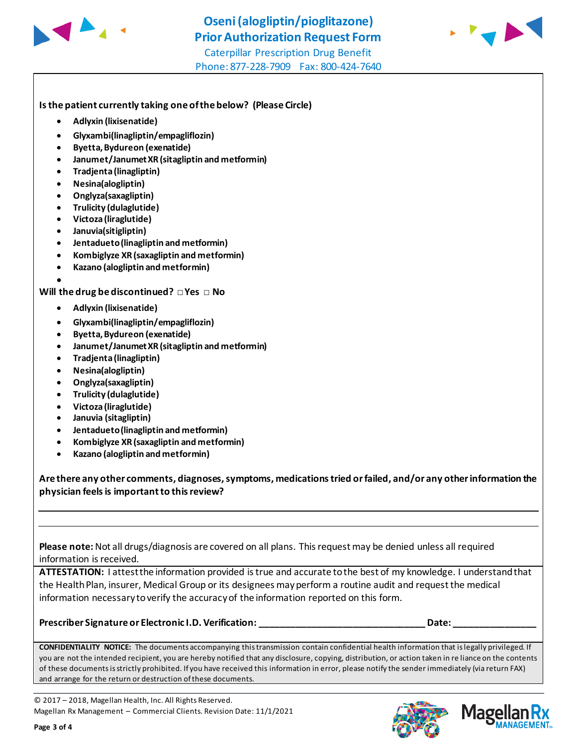

Phone: 877-228-7909 Fax: 800-424-7640



**Is the patient currently taking one of the below? (Please Circle)** 

- **Adlyxin (lixisenatide)**
- **Glyxambi(linagliptin/empagliflozin)**
- **Byetta, Bydureon (exenatide)**
- **Janumet/Janumet XR (sitagliptin and metformin)**
- **Tradjenta (linagliptin)**
- **Nesina(alogliptin)**
- **Onglyza(saxagliptin)**
- **Trulicity (dulaglutide)**
- **Victoza (liraglutide)**
- **Januvia(sitigliptin)**

•

- **Jentadueto(linagliptin and metformin)**
- **Kombiglyze XR (saxagliptin and metformin)**
- **Kazano (alogliptin and metformin)**

## **Will the drug be discontinued? □ Yes □ No**

- **Adlyxin (lixisenatide)**
- **Glyxambi(linagliptin/empagliflozin)**
- **Byetta, Bydureon (exenatide)**
- **Janumet/Janumet XR (sitagliptin and metformin)**
- **Tradjenta (linagliptin)**
- **Nesina(alogliptin)**
- **Onglyza(saxagliptin)**
- **Trulicity (dulaglutide)**
- **Victoza (liraglutide)**
- **Januvia (sitagliptin)**
- **Jentadueto (linagliptin and metformin)**
- **Kombiglyze XR (saxagliptin and metformin)**
- **Kazano (alogliptin and metformin)**

**Are there any other comments, diagnoses, symptoms, medications tried or failed, and/or any other information the physician feels is important to this review?**

**Please note:** Not all drugs/diagnosis are covered on all plans. This request may be denied unless all required information is received.

**ATTESTATION:** I attest the information provided is true and accurate to the best of my knowledge. I understand that the Health Plan, insurer, Medical Group or its designees may perform a routine audit and request the medical information necessary to verify the accuracy of the information reported on this form.

### **Prescriber Signature or Electronic I.D. Verification: \_\_\_\_\_\_\_\_\_\_\_\_\_\_\_\_\_\_\_\_\_\_\_\_\_\_\_\_\_\_\_\_ Date: \_\_\_\_\_\_\_\_\_\_\_\_\_\_\_\_**

**CONFIDENTIALITY NOTICE:** The documents accompanying this transmission contain confidential health information that is legally privileged. If you are not the intended recipient, you are hereby notified that any disclosure, copying, distribution, or action taken in re liance on the contents of these documents is strictly prohibited. If you have received this information in error, please notify the sender immediately (via return FAX) and arrange for the return or destruction of these documents.

© 2017 – 2018, Magellan Health, Inc. All Rights Reserved. Magellan Rx Management – Commercial Clients. Revision Date: 11/1/2021